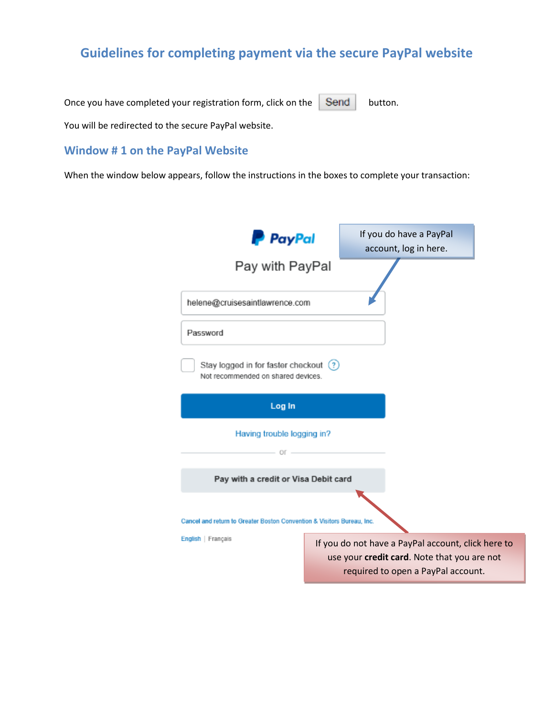## **Guidelines for completing payment via the secure PayPal website**

Once you have completed your registration form, click on the  $\Box$  Send button.

You will be redirected to the secure PayPal website.

## **Window # 1 on the PayPal Website**

When the window below appears, follow the instructions in the boxes to complete your transaction:

| <b>P</b> PayPal                                                              | If you do have a PayPal<br>account, log in here.                                                  |
|------------------------------------------------------------------------------|---------------------------------------------------------------------------------------------------|
| Pay with PayPal                                                              |                                                                                                   |
| helene@cruisesaintlawrence.com                                               |                                                                                                   |
| Password                                                                     |                                                                                                   |
| Stay logged in for faster checkout (?)<br>Not recommended on shared devices. |                                                                                                   |
| Log In                                                                       |                                                                                                   |
| Having trouble logging in?<br>$-$ OF $-$                                     |                                                                                                   |
| Pay with a credit or Visa Debit card                                         |                                                                                                   |
| Cancel and return to Greater Boston Convention & Visitors Bureau, Inc.       |                                                                                                   |
| English   Français                                                           | If you do not have a PayPal account, click here to<br>use your credit card. Note that you are not |
|                                                                              | required to open a PayPal account.                                                                |